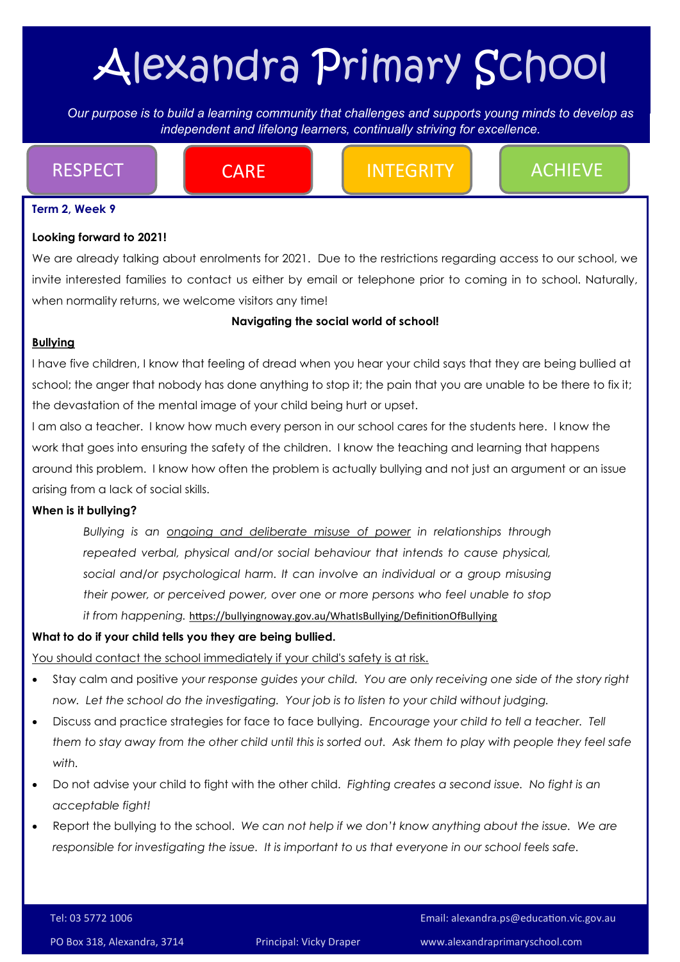# Alexandra Primary School

*Our purpose is to build a learning community that challenges and supports young minds to develop as independent Our purpose is to build a learning community that challenges and supports young minds to develop as independent and lifelong learners, continually striving for excellence.* 

RESPECT **Integral CARE Integrity Achieve** 

#### **Term 2, Week 9**

#### **Looking forward to 2021!**

We are already talking about enrolments for 2021. Due to the restrictions regarding access to our school, we invite interested families to contact us either by email or telephone prior to coming in to school. Naturally, when normality returns, we welcome visitors any time!

#### **Navigating the social world of school!**

#### **Bullying**

I have five children, I know that feeling of dread when you hear your child says that they are being bullied at school; the anger that nobody has done anything to stop it; the pain that you are unable to be there to fix it; the devastation of the mental image of your child being hurt or upset.

I am also a teacher. I know how much every person in our school cares for the students here. I know the work that goes into ensuring the safety of the children. I know the teaching and learning that happens around this problem. I know how often the problem is actually bullying and not just an argument or an issue arising from a lack of social skills.

#### **When is it bullying?**

*Bullying is an ongoing and deliberate misuse of power in relationships through repeated verbal, physical and/or social behaviour that intends to cause physical, social and/or psychological harm. It can involve an individual or a group misusing their power, or perceived power, over one or more persons who feel unable to stop it from happening.* <https://bullyingnoway.gov.au/WhatIsBullying/DefinitionOfBullying>

#### **What to do if your child tells you they are being bullied.**

You should contact the school immediately if your child's safety is at risk.

- Stay calm and positive *your response guides your child. You are only receiving one side of the story right now. Let the school do the investigating. Your job is to listen to your child without judging.*
- Discuss and practice strategies for face to face bullying. *Encourage your child to tell a teacher. Tell them to stay away from the other child until this is sorted out. Ask them to play with people they feel safe with.*
- Do not advise your child to fight with the other child. *Fighting creates a second issue. No fight is an acceptable fight!*
- Report the bullying to the school. *We can not help if we don't know anything about the issue. We are responsible for investigating the issue. It is important to us that everyone in our school feels safe.*

Tel: 03 5772 1006 Email: alexandra.ps@education.vic.gov.au

PO Box 318, Alexandra, 3714 Principal: Vicky Draper www.alexandraprimaryschool.com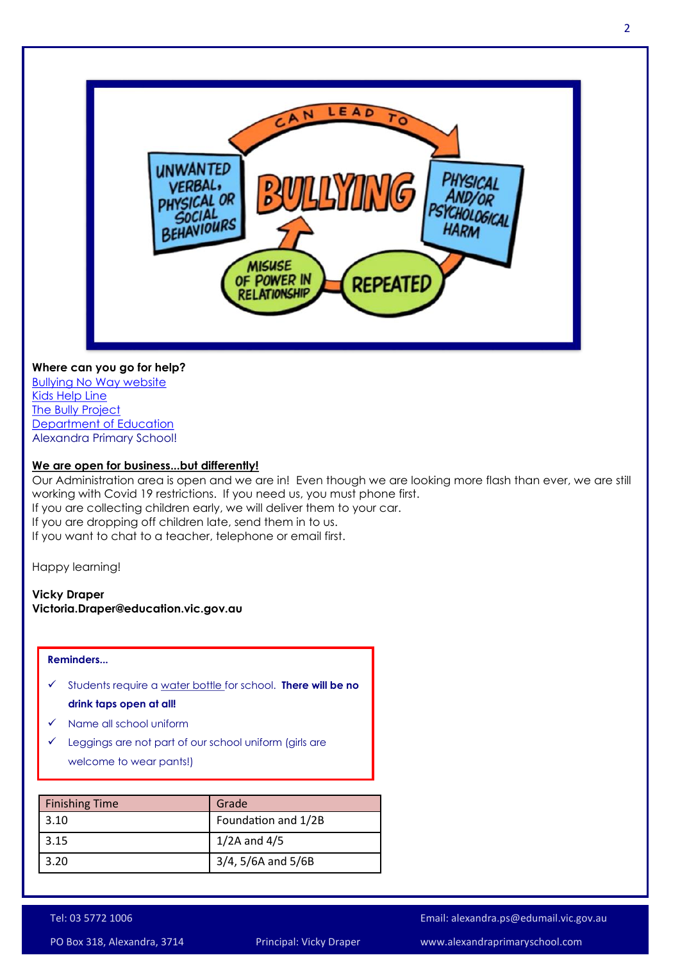

#### **Where can you go for help?**

[Bullying No Way website](https://bullyingnoway.gov.au/) [Kids Help Line](https://kidshelpline.com.au/teens/issues/bullying) [The Bully Project](https://thebullyproject.com.au/parents/) [Department of Education](https://www.education.vic.gov.au/about/programs/bullystoppers/Pages/advicedealingwithbullying.aspx) Alexandra Primary School!

#### **We are open for business...but differently!**

Our Administration area is open and we are in! Even though we are looking more flash than ever, we are still working with Covid 19 restrictions. If you need us, you must phone first. If you are collecting children early, we will deliver them to your car. If you are dropping off children late, send them in to us. If you want to chat to a teacher, telephone or email first.

Happy learning!

#### **Vicky Draper Victoria.Draper@education.vic.gov.au**

#### **Reminders...**

- Students require a water bottle for school. **There will be no drink taps open at all!**
- $\checkmark$  Name all school uniform
- $\checkmark$  Leggings are not part of our school uniform (girls are welcome to wear pants!)

| <b>Finishing Time</b> | Grade                 |
|-----------------------|-----------------------|
| 3.10                  | Foundation and 1/2B   |
| 3.15                  | $1/2A$ and $4/5$      |
| 3.20                  | $3/4$ , 5/6A and 5/6B |

Tel: 03 5772 1006 Email: alexandra.ps@edumail.vic.gov.au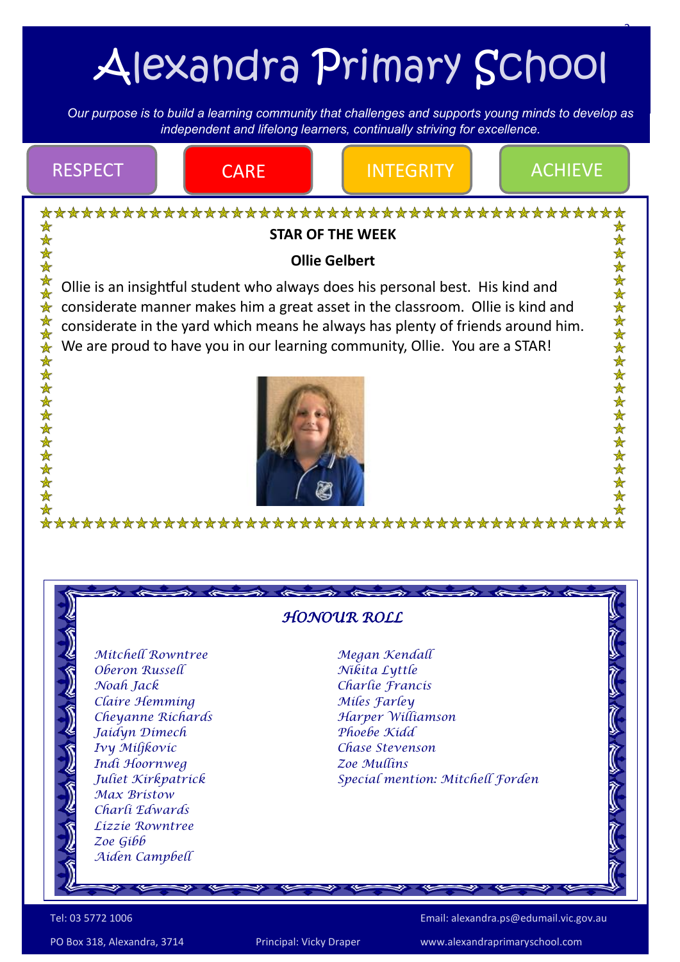# Alexandra Primary School

3

*Our purpose is to build a learning community that challenges and supports young minds to develop as independent Our purpose is to build a learning community that challenges and supports young minds to develop as independent and lifelong learners, continually striving for excellence.* 



PO Box 318, Alexandra, 3714 Principal: Vicky Draper www.alexandraprimaryschool.com